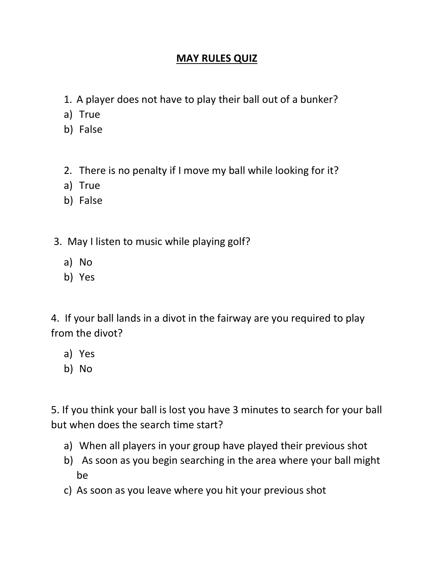## **MAY RULES QUIZ**

- 1. A player does not have to play their ball out of a bunker?
- a) True
- b) False
- 2. There is no penalty if I move my ball while looking for it?
- a) True
- b) False
- 3. May I listen to music while playing golf?
	- a) No
	- b) Yes

4. If your ball lands in a divot in the fairway are you required to play from the divot?

- a) Yes
- b) No

5. If you think your ball is lost you have 3 minutes to search for your ball but when does the search time start?

- a) When all players in your group have played their previous shot
- b) As soon as you begin searching in the area where your ball might be
- c) As soon as you leave where you hit your previous shot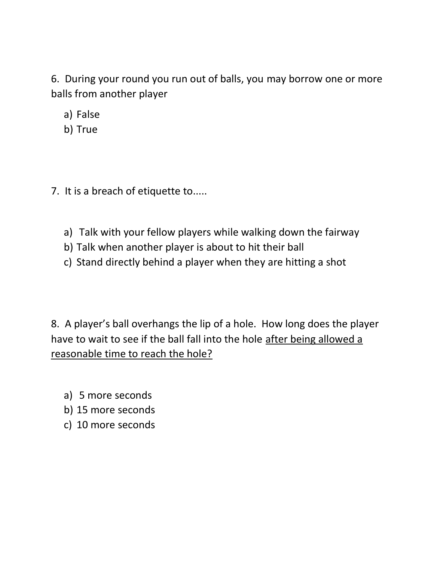6. During your round you run out of balls, you may borrow one or more balls from another player

- a) False
- b) True

7. It is a breach of etiquette to.....

- a) Talk with your fellow players while walking down the fairway
- b) Talk when another player is about to hit their ball
- c) Stand directly behind a player when they are hitting a shot

8. A player's ball overhangs the lip of a hole. How long does the player have to wait to see if the ball fall into the hole after being allowed a reasonable time to reach the hole?

- a) 5 more seconds
- b) 15 more seconds
- c) 10 more seconds